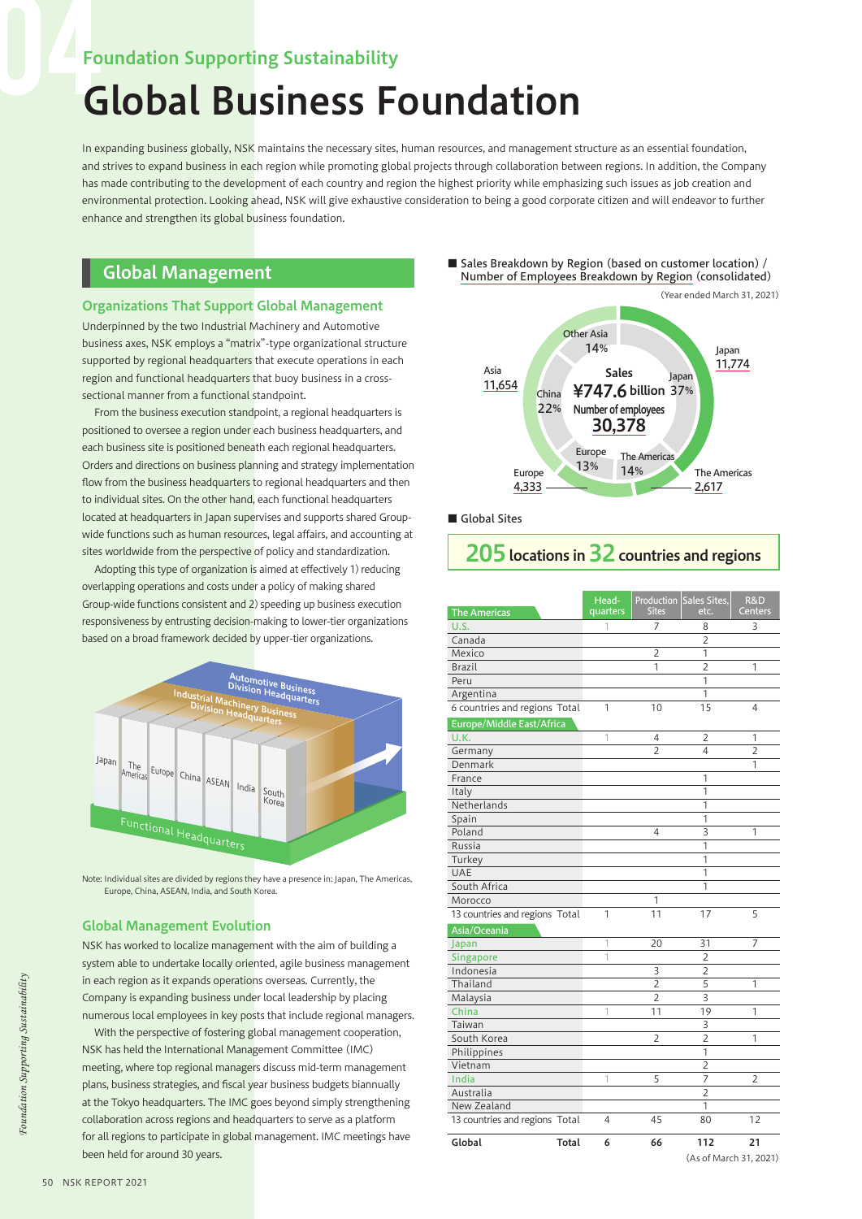# Foundation Supporting Sustainability

# Global Business Foundation

In expanding business globally, NSK maintains the necessary sites, human resources, and management structure as an essential foundation, and strives to expand business in each region while promoting global projects through collaboration between regions. In addition, the Company has made contributing to the development of each country and region the highest priority while emphasizing such issues as job creation and environmental protection. Looking ahead, NSK will give exhaustive consideration to being a good corporate citizen and will endeavor to further enhance and strengthen its global business foundation.

## Global Management

#### Organizations That Support Global Management

Underpinned by the two Industrial Machinery and Automotive business axes, NSK employs a "matrix"-type organizational structure supported by regional headquarters that execute operations in each region and functional headquarters that buoy business in a crosssectional manner from a functional standpoint.

From the business execution standpoint, a regional headquarters is positioned to oversee a region under each business headquarters, and each business site is positioned beneath each regional headquarters. Orders and directions on business planning and strategy implementation flow from the business headquarters to regional headquarters and then to individual sites. On the other hand, each functional headquarters located at headquarters in Japan supervises and supports shared Groupwide functions such as human resources, legal affairs, and accounting at sites worldwide from the perspective of policy and standardization.

Adopting this type of organization is aimed at effectively 1) reducing overlapping operations and costs under a policy of making shared Group-wide functions consistent and 2) speeding up business execution responsiveness by entrusting decision-making to lower-tier organizations based on a broad framework decided by upper-tier organizations.



Note: Individual sites are divided by regions they have a presence in: Japan, The Americas, Europe, China, ASEAN, India, and South Korea.

#### Global Management Evolution

NSK has worked to localize management with the aim of building a system able to undertake locally oriented, agile business management in each region as it expands operations overseas. Currently, the Company is expanding business under local leadership by placing numerous local employees in key posts that include regional managers.

With the perspective of fostering global management cooperation, NSK has held the International Management Committee (IMC) meeting, where top regional managers discuss mid-term management plans, business strategies, and fiscal year business budgets biannually at the Tokyo headquarters. The IMC goes beyond simply strengthening collaboration across regions and headquarters to serve as a platform for all regions to participate in global management. IMC meetings have been held for around 30 years.

■ Sales Breakdown by Region (based on customer location) / Number of Employees Breakdown by Region (consolidated)



■ Global Sites

# 205 locations in 32 countries and regions

| <b>The Americas</b>            |              | Head-<br>quarters | Production<br><b>Sites</b> | <b>Sales Sites,</b><br>etc. | R&D<br><b>Centers</b> |  |
|--------------------------------|--------------|-------------------|----------------------------|-----------------------------|-----------------------|--|
| U.S.                           |              | 1                 | 7                          | 8                           | 3                     |  |
| Canada                         |              |                   |                            | $\overline{2}$              |                       |  |
| Mexico                         |              |                   | 2                          | 1                           |                       |  |
| <b>Brazil</b>                  |              |                   | 1                          | $\overline{2}$              | 1                     |  |
| Peru                           |              |                   |                            | 1                           |                       |  |
| Argentina                      |              |                   |                            | 1                           |                       |  |
| 6 countries and regions Total  |              | 1                 | 10                         | 15                          | 4                     |  |
| Europe/Middle East/Africa      |              |                   |                            |                             |                       |  |
| U.K.                           |              | 1                 | 4                          | 2                           | 1                     |  |
| Germany                        |              |                   | 2                          | 4                           | 2                     |  |
| Denmark                        |              |                   |                            |                             | 1                     |  |
| France                         |              |                   |                            | 1                           |                       |  |
| Italy                          |              |                   |                            | 1                           |                       |  |
| Netherlands                    |              |                   |                            | 1                           |                       |  |
| Spain                          |              |                   |                            | 1                           |                       |  |
| Poland                         |              |                   | 4                          | 3                           | 1                     |  |
| Russia                         |              |                   |                            | 1                           |                       |  |
| Turkey                         |              |                   |                            | 1                           |                       |  |
| UAE                            |              |                   |                            | 1                           |                       |  |
| South Africa                   |              |                   |                            | 1                           |                       |  |
| Morocco                        |              |                   | 1                          |                             |                       |  |
| 13 countries and regions Total |              | 1                 | 11                         | 17                          | 5                     |  |
| Asia/Oceania                   |              |                   |                            |                             |                       |  |
| Japan                          |              | 1                 | 20                         | 31                          | 7                     |  |
| Singapore                      |              | 1                 |                            | $\overline{2}$              |                       |  |
| Indonesia                      |              |                   | 3                          | $\overline{2}$              |                       |  |
| Thailand                       |              |                   | 2                          | 5                           | 1                     |  |
| Malaysia                       |              |                   | 2                          | 3                           |                       |  |
| China                          |              | 1                 | 11                         | 19                          | 1                     |  |
| Taiwan                         |              |                   |                            | 3                           |                       |  |
| South Korea                    |              |                   | $\overline{2}$             | $\overline{2}$              | 1                     |  |
| Philippines                    |              |                   |                            | 1                           |                       |  |
| Vietnam                        |              |                   |                            | $\overline{2}$              |                       |  |
| India                          |              | 1                 | 5                          | 7                           | 2                     |  |
| Australia                      |              |                   |                            | $\overline{2}$              |                       |  |
| New Zealand                    |              |                   |                            | 1                           |                       |  |
| 13 countries and regions Total |              | 4                 | 45                         | 80                          | 12                    |  |
| Global                         | <b>Total</b> | 6                 | 66                         | 112                         | 21                    |  |
|                                |              |                   |                            | (As of March 31, 2021)      |                       |  |